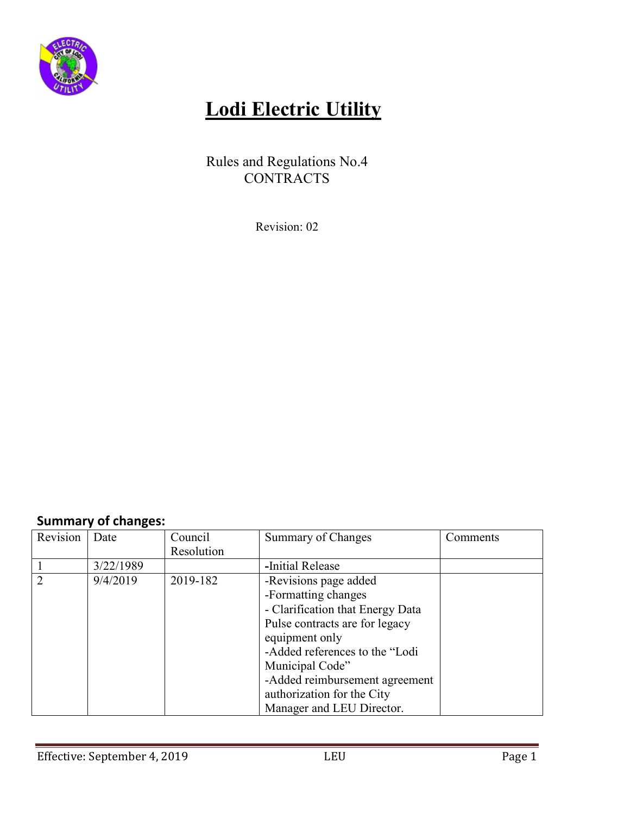

## **Lodi Electric Utility**

Rules and Regulations No.4 CONTRACTS

Revision: 02

## **Summary of changes:**

| Revision                    | Date      | Council    | Summary of Changes               | Comments |
|-----------------------------|-----------|------------|----------------------------------|----------|
|                             |           | Resolution |                                  |          |
|                             | 3/22/1989 |            | -Initial Release                 |          |
| $\mathcal{D}_{\mathcal{A}}$ | 9/4/2019  | 2019-182   | -Revisions page added            |          |
|                             |           |            | -Formatting changes              |          |
|                             |           |            | - Clarification that Energy Data |          |
|                             |           |            | Pulse contracts are for legacy   |          |
|                             |           |            | equipment only                   |          |
|                             |           |            | -Added references to the "Lodi   |          |
|                             |           |            | Municipal Code"                  |          |
|                             |           |            | -Added reimbursement agreement   |          |
|                             |           |            | authorization for the City       |          |
|                             |           |            | Manager and LEU Director.        |          |